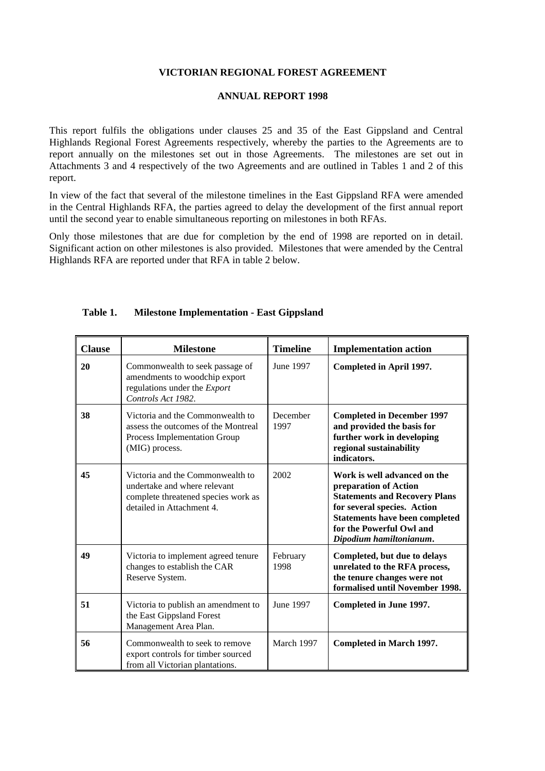## **VICTORIAN REGIONAL FOREST AGREEMENT**

## **ANNUAL REPORT 1998**

This report fulfils the obligations under clauses 25 and 35 of the East Gippsland and Central Highlands Regional Forest Agreements respectively, whereby the parties to the Agreements are to report annually on the milestones set out in those Agreements. The milestones are set out in Attachments 3 and 4 respectively of the two Agreements and are outlined in Tables 1 and 2 of this report.

In view of the fact that several of the milestone timelines in the East Gippsland RFA were amended in the Central Highlands RFA, the parties agreed to delay the development of the first annual report until the second year to enable simultaneous reporting on milestones in both RFAs.

Only those milestones that are due for completion by the end of 1998 are reported on in detail. Significant action on other milestones is also provided. Milestones that were amended by the Central Highlands RFA are reported under that RFA in table 2 below.

| <b>Clause</b> | <b>Milestone</b>                                                                                                                     | <b>Timeline</b>  | <b>Implementation action</b>                                                                                                                                                                                                 |
|---------------|--------------------------------------------------------------------------------------------------------------------------------------|------------------|------------------------------------------------------------------------------------------------------------------------------------------------------------------------------------------------------------------------------|
| 20            | Commonwealth to seek passage of<br>amendments to woodchip export<br>regulations under the Export<br>Controls Act 1982.               | June 1997        | Completed in April 1997.                                                                                                                                                                                                     |
| 38            | Victoria and the Commonwealth to<br>assess the outcomes of the Montreal<br>Process Implementation Group<br>(MIG) process.            | December<br>1997 | <b>Completed in December 1997</b><br>and provided the basis for<br>further work in developing<br>regional sustainability<br>indicators.                                                                                      |
| 45            | Victoria and the Commonwealth to<br>undertake and where relevant<br>complete threatened species work as<br>detailed in Attachment 4. | 2002             | Work is well advanced on the<br>preparation of Action<br><b>Statements and Recovery Plans</b><br>for several species. Action<br><b>Statements have been completed</b><br>for the Powerful Owl and<br>Dipodium hamiltonianum. |
| 49            | Victoria to implement agreed tenure<br>changes to establish the CAR<br>Reserve System.                                               | February<br>1998 | Completed, but due to delays<br>unrelated to the RFA process,<br>the tenure changes were not<br>formalised until November 1998.                                                                                              |
| 51            | Victoria to publish an amendment to<br>the East Gippsland Forest<br>Management Area Plan.                                            | June 1997        | Completed in June 1997.                                                                                                                                                                                                      |
| 56            | Commonwealth to seek to remove<br>export controls for timber sourced<br>from all Victorian plantations.                              | March 1997       | <b>Completed in March 1997.</b>                                                                                                                                                                                              |

## **Table 1. Milestone Implementation - East Gippsland**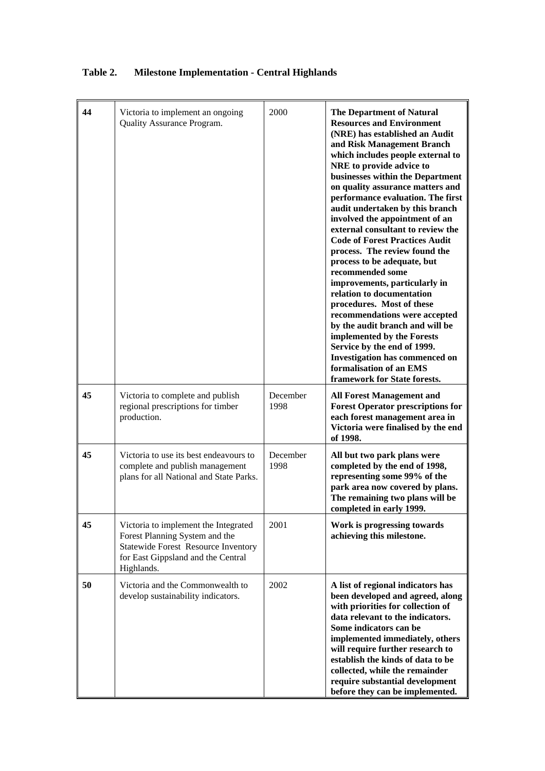| 44 | Victoria to implement an ongoing<br>Quality Assurance Program.                                                                                                           | 2000             | <b>The Department of Natural</b><br><b>Resources and Environment</b><br>(NRE) has established an Audit<br>and Risk Management Branch<br>which includes people external to<br>NRE to provide advice to<br>businesses within the Department<br>on quality assurance matters and<br>performance evaluation. The first<br>audit undertaken by this branch<br>involved the appointment of an<br>external consultant to review the<br><b>Code of Forest Practices Audit</b><br>process. The review found the<br>process to be adequate, but<br>recommended some<br>improvements, particularly in<br>relation to documentation<br>procedures. Most of these<br>recommendations were accepted<br>by the audit branch and will be<br>implemented by the Forests<br>Service by the end of 1999.<br><b>Investigation has commenced on</b><br>formalisation of an EMS<br>framework for State forests. |
|----|--------------------------------------------------------------------------------------------------------------------------------------------------------------------------|------------------|-------------------------------------------------------------------------------------------------------------------------------------------------------------------------------------------------------------------------------------------------------------------------------------------------------------------------------------------------------------------------------------------------------------------------------------------------------------------------------------------------------------------------------------------------------------------------------------------------------------------------------------------------------------------------------------------------------------------------------------------------------------------------------------------------------------------------------------------------------------------------------------------|
| 45 | Victoria to complete and publish<br>regional prescriptions for timber<br>production.                                                                                     | December<br>1998 | <b>All Forest Management and</b><br><b>Forest Operator prescriptions for</b><br>each forest management area in<br>Victoria were finalised by the end<br>of 1998.                                                                                                                                                                                                                                                                                                                                                                                                                                                                                                                                                                                                                                                                                                                          |
| 45 | Victoria to use its best endeavours to<br>complete and publish management<br>plans for all National and State Parks.                                                     | December<br>1998 | All but two park plans were<br>completed by the end of 1998,<br>representing some 99% of the<br>park area now covered by plans.<br>The remaining two plans will be<br>completed in early 1999.                                                                                                                                                                                                                                                                                                                                                                                                                                                                                                                                                                                                                                                                                            |
| 45 | Victoria to implement the Integrated<br>Forest Planning System and the<br><b>Statewide Forest Resource Inventory</b><br>for East Gippsland and the Central<br>Highlands. | 2001             | Work is progressing towards<br>achieving this milestone.                                                                                                                                                                                                                                                                                                                                                                                                                                                                                                                                                                                                                                                                                                                                                                                                                                  |
| 50 | Victoria and the Commonwealth to<br>develop sustainability indicators.                                                                                                   | 2002             | A list of regional indicators has<br>been developed and agreed, along<br>with priorities for collection of<br>data relevant to the indicators.<br>Some indicators can be<br>implemented immediately, others<br>will require further research to<br>establish the kinds of data to be<br>collected, while the remainder<br>require substantial development<br>before they can be implemented.                                                                                                                                                                                                                                                                                                                                                                                                                                                                                              |

## **Table 2. Milestone Implementation - Central Highlands**